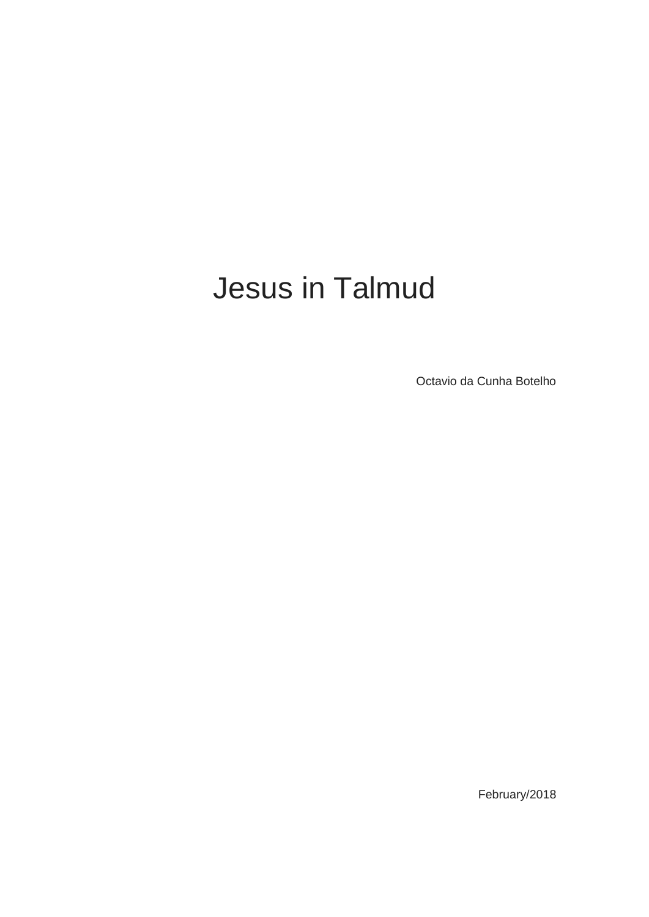# Jesus in Talmud

Octavio da Cunha Botelho

February/2018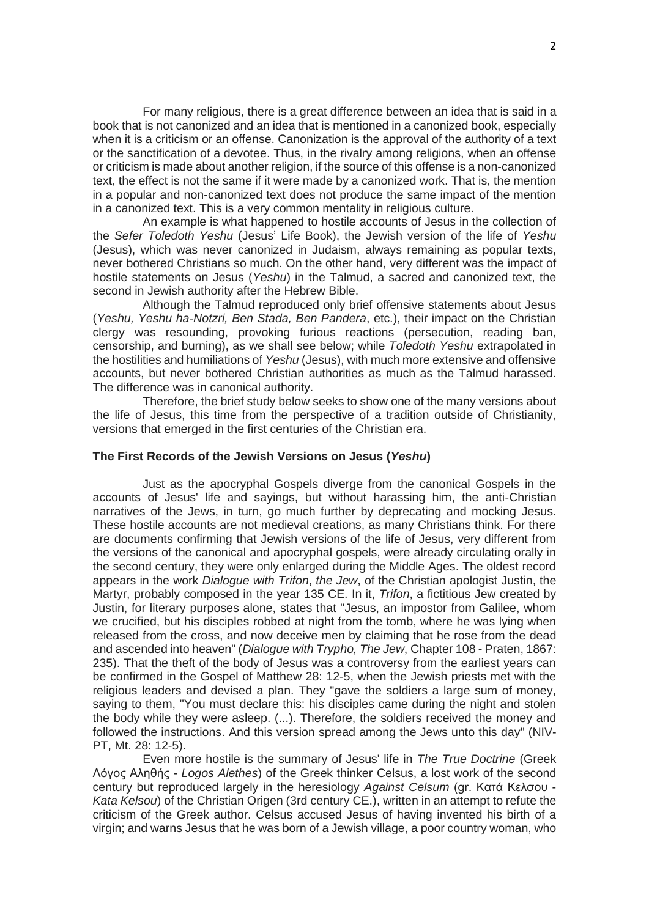For many religious, there is a great difference between an idea that is said in a book that is not canonized and an idea that is mentioned in a canonized book, especially when it is a criticism or an offense. Canonization is the approval of the authority of a text or the sanctification of a devotee. Thus, in the rivalry among religions, when an offense or criticism is made about another religion, if the source of this offense is a non-canonized text, the effect is not the same if it were made by a canonized work. That is, the mention in a popular and non-canonized text does not produce the same impact of the mention in a canonized text. This is a very common mentality in religious culture.

An example is what happened to hostile accounts of Jesus in the collection of the *Sefer Toledoth Yeshu* (Jesus' Life Book), the Jewish version of the life of *Yeshu* (Jesus), which was never canonized in Judaism, always remaining as popular texts, never bothered Christians so much. On the other hand, very different was the impact of hostile statements on Jesus (*Yeshu*) in the Talmud, a sacred and canonized text, the second in Jewish authority after the Hebrew Bible.

Although the Talmud reproduced only brief offensive statements about Jesus (*Yeshu, Yeshu ha-Notzri, Ben Stada, Ben Pandera*, etc.), their impact on the Christian clergy was resounding, provoking furious reactions (persecution, reading ban, censorship, and burning), as we shall see below; while *Toledoth Yeshu* extrapolated in the hostilities and humiliations of *Yeshu* (Jesus), with much more extensive and offensive accounts, but never bothered Christian authorities as much as the Talmud harassed. The difference was in canonical authority.

Therefore, the brief study below seeks to show one of the many versions about the life of Jesus, this time from the perspective of a tradition outside of Christianity, versions that emerged in the first centuries of the Christian era.

## **The First Records of the Jewish Versions on Jesus (***Yeshu***)**

Just as the apocryphal Gospels diverge from the canonical Gospels in the accounts of Jesus' life and sayings, but without harassing him, the anti-Christian narratives of the Jews, in turn, go much further by deprecating and mocking Jesus. These hostile accounts are not medieval creations, as many Christians think. For there are documents confirming that Jewish versions of the life of Jesus, very different from the versions of the canonical and apocryphal gospels, were already circulating orally in the second century, they were only enlarged during the Middle Ages. The oldest record appears in the work *Dialogue with Trifon*, *the Jew*, of the Christian apologist Justin, the Martyr, probably composed in the year 135 CE. In it, *Trifon*, a fictitious Jew created by Justin, for literary purposes alone, states that "Jesus, an impostor from Galilee, whom we crucified, but his disciples robbed at night from the tomb, where he was lying when released from the cross, and now deceive men by claiming that he rose from the dead and ascended into heaven" (*Dialogue with Trypho, The Jew*, Chapter 108 - Praten, 1867: 235). That the theft of the body of Jesus was a controversy from the earliest years can be confirmed in the Gospel of Matthew 28: 12-5, when the Jewish priests met with the religious leaders and devised a plan. They "gave the soldiers a large sum of money, saying to them, "You must declare this: his disciples came during the night and stolen the body while they were asleep. (...). Therefore, the soldiers received the money and followed the instructions. And this version spread among the Jews unto this day" (NIV-PT, Mt. 28: 12-5).

Even more hostile is the summary of Jesus' life in *The True Doctrine* (Greek Λόγος Αληθής - *Logos Alethes*) of the Greek thinker Celsus, a lost work of the second century but reproduced largely in the heresiology *Against Celsum* (gr. Κατά Κελσου - *Kata Kelsou*) of the Christian Origen (3rd century CE.), written in an attempt to refute the criticism of the Greek author. Celsus accused Jesus of having invented his birth of a virgin; and warns Jesus that he was born of a Jewish village, a poor country woman, who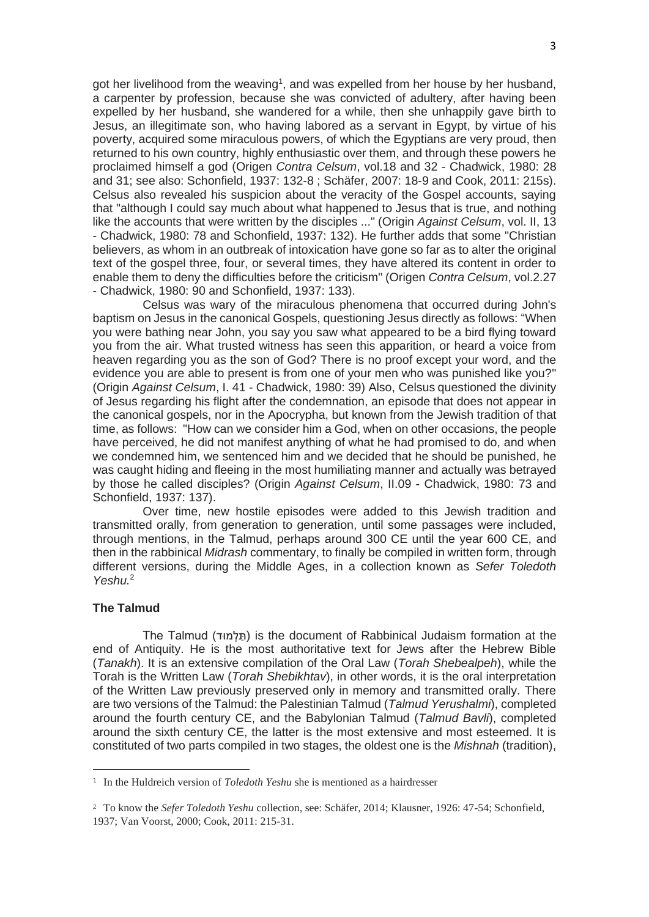got her livelihood from the weaving<sup>1</sup>, and was expelled from her house by her husband, a carpenter by profession, because she was convicted of adultery, after having been expelled by her husband, she wandered for a while, then she unhappily gave birth to Jesus, an illegitimate son, who having labored as a servant in Egypt, by virtue of his poverty, acquired some miraculous powers, of which the Egyptians are very proud, then returned to his own country, highly enthusiastic over them, and through these powers he proclaimed himself a god (Origen *Contra Celsum*, vol.18 and 32 - Chadwick, 1980: 28 and 31; see also: Schonfield, 1937: 132-8 ; Schäfer, 2007: 18-9 and Cook, 2011: 215s). Celsus also revealed his suspicion about the veracity of the Gospel accounts, saying that "although I could say much about what happened to Jesus that is true, and nothing like the accounts that were written by the disciples ..." (Origin *Against Celsum*, vol. II, 13 - Chadwick, 1980: 78 and Schonfield, 1937: 132). He further adds that some "Christian believers, as whom in an outbreak of intoxication have gone so far as to alter the original text of the gospel three, four, or several times, they have altered its content in order to enable them to deny the difficulties before the criticism" (Origen *Contra Celsum*, vol.2.27 - Chadwick, 1980: 90 and Schonfield, 1937: 133).

Celsus was wary of the miraculous phenomena that occurred during John's baptism on Jesus in the canonical Gospels, questioning Jesus directly as follows: "When you were bathing near John, you say you saw what appeared to be a bird flying toward you from the air. What trusted witness has seen this apparition, or heard a voice from heaven regarding you as the son of God? There is no proof except your word, and the evidence you are able to present is from one of your men who was punished like you?" (Origin *Against Celsum*, I. 41 - Chadwick, 1980: 39) Also, Celsus questioned the divinity of Jesus regarding his flight after the condemnation, an episode that does not appear in the canonical gospels, nor in the Apocrypha, but known from the Jewish tradition of that time, as follows: "How can we consider him a God, when on other occasions, the people have perceived, he did not manifest anything of what he had promised to do, and when we condemned him, we sentenced him and we decided that he should be punished, he was caught hiding and fleeing in the most humiliating manner and actually was betrayed by those he called disciples? (Origin *Against Celsum*, II.09 - Chadwick, 1980: 73 and Schonfield, 1937: 137).

Over time, new hostile episodes were added to this Jewish tradition and transmitted orally, from generation to generation, until some passages were included, through mentions, in the Talmud, perhaps around 300 CE until the year 600 CE, and then in the rabbinical *Midrash* commentary, to finally be compiled in written form, through different versions, during the Middle Ages, in a collection known as *Sefer Toledoth Yeshu.*<sup>2</sup>

## **The Talmud**

The Talmud ( ודּמ ְל ַּת (is the document of Rabbinical Judaism formation at the end of Antiquity. He is the most authoritative text for Jews after the Hebrew Bible (*Tanakh*). It is an extensive compilation of the Oral Law (*Torah Shebealpeh*), while the Torah is the Written Law (*Torah Shebikhtav*), in other words, it is the oral interpretation of the Written Law previously preserved only in memory and transmitted orally. There are two versions of the Talmud: the Palestinian Talmud (*Talmud Yerushalmi*), completed around the fourth century CE, and the Babylonian Talmud (*Talmud Bavli*), completed around the sixth century CE, the latter is the most extensive and most esteemed. It is constituted of two parts compiled in two stages, the oldest one is the *Mishnah* (tradition),

<sup>1</sup> In the Huldreich version of *Toledoth Yeshu* she is mentioned as a hairdresser

<sup>&</sup>lt;sup>2</sup> To know the *Sefer Toledoth Yeshu* collection, see: Schäfer, 2014; Klausner, 1926: 47-54; Schonfield, 1937; Van Voorst, 2000; Cook, 2011: 215-31.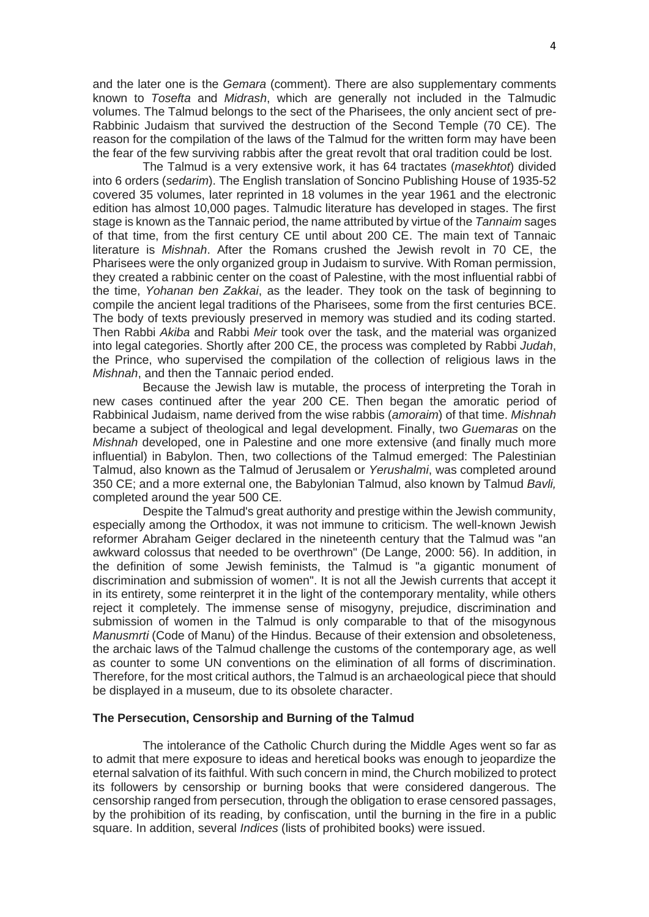and the later one is the *Gemara* (comment). There are also supplementary comments known to *Tosefta* and *Midrash*, which are generally not included in the Talmudic volumes. The Talmud belongs to the sect of the Pharisees, the only ancient sect of pre-Rabbinic Judaism that survived the destruction of the Second Temple (70 CE). The reason for the compilation of the laws of the Talmud for the written form may have been the fear of the few surviving rabbis after the great revolt that oral tradition could be lost.

The Talmud is a very extensive work, it has 64 tractates (*masekhtot*) divided into 6 orders (*sedarim*). The English translation of Soncino Publishing House of 1935-52 covered 35 volumes, later reprinted in 18 volumes in the year 1961 and the electronic edition has almost 10,000 pages. Talmudic literature has developed in stages. The first stage is known as the Tannaic period, the name attributed by virtue of the *Tannaim* sages of that time, from the first century CE until about 200 CE. The main text of Tannaic literature is *Mishnah*. After the Romans crushed the Jewish revolt in 70 CE, the Pharisees were the only organized group in Judaism to survive. With Roman permission, they created a rabbinic center on the coast of Palestine, with the most influential rabbi of the time, *Yohanan ben Zakkai*, as the leader. They took on the task of beginning to compile the ancient legal traditions of the Pharisees, some from the first centuries BCE. The body of texts previously preserved in memory was studied and its coding started. Then Rabbi *Akiba* and Rabbi *Meir* took over the task, and the material was organized into legal categories. Shortly after 200 CE, the process was completed by Rabbi *Judah*, the Prince, who supervised the compilation of the collection of religious laws in the *Mishnah*, and then the Tannaic period ended.

Because the Jewish law is mutable, the process of interpreting the Torah in new cases continued after the year 200 CE. Then began the amoratic period of Rabbinical Judaism, name derived from the wise rabbis (*amoraim*) of that time. *Mishnah* became a subject of theological and legal development. Finally, two *Guemaras* on the *Mishnah* developed, one in Palestine and one more extensive (and finally much more influential) in Babylon. Then, two collections of the Talmud emerged: The Palestinian Talmud, also known as the Talmud of Jerusalem or *Yerushalmi*, was completed around 350 CE; and a more external one, the Babylonian Talmud, also known by Talmud *Bavli,* completed around the year 500 CE.

Despite the Talmud's great authority and prestige within the Jewish community, especially among the Orthodox, it was not immune to criticism. The well-known Jewish reformer Abraham Geiger declared in the nineteenth century that the Talmud was "an awkward colossus that needed to be overthrown" (De Lange, 2000: 56). In addition, in the definition of some Jewish feminists, the Talmud is "a gigantic monument of discrimination and submission of women". It is not all the Jewish currents that accept it in its entirety, some reinterpret it in the light of the contemporary mentality, while others reject it completely. The immense sense of misogyny, prejudice, discrimination and submission of women in the Talmud is only comparable to that of the misogynous *Manusmrti* (Code of Manu) of the Hindus. Because of their extension and obsoleteness, the archaic laws of the Talmud challenge the customs of the contemporary age, as well as counter to some UN conventions on the elimination of all forms of discrimination. Therefore, for the most critical authors, the Talmud is an archaeological piece that should be displayed in a museum, due to its obsolete character.

#### **The Persecution, Censorship and Burning of the Talmud**

The intolerance of the Catholic Church during the Middle Ages went so far as to admit that mere exposure to ideas and heretical books was enough to jeopardize the eternal salvation of its faithful. With such concern in mind, the Church mobilized to protect its followers by censorship or burning books that were considered dangerous. The censorship ranged from persecution, through the obligation to erase censored passages, by the prohibition of its reading, by confiscation, until the burning in the fire in a public square. In addition, several *Indices* (lists of prohibited books) were issued.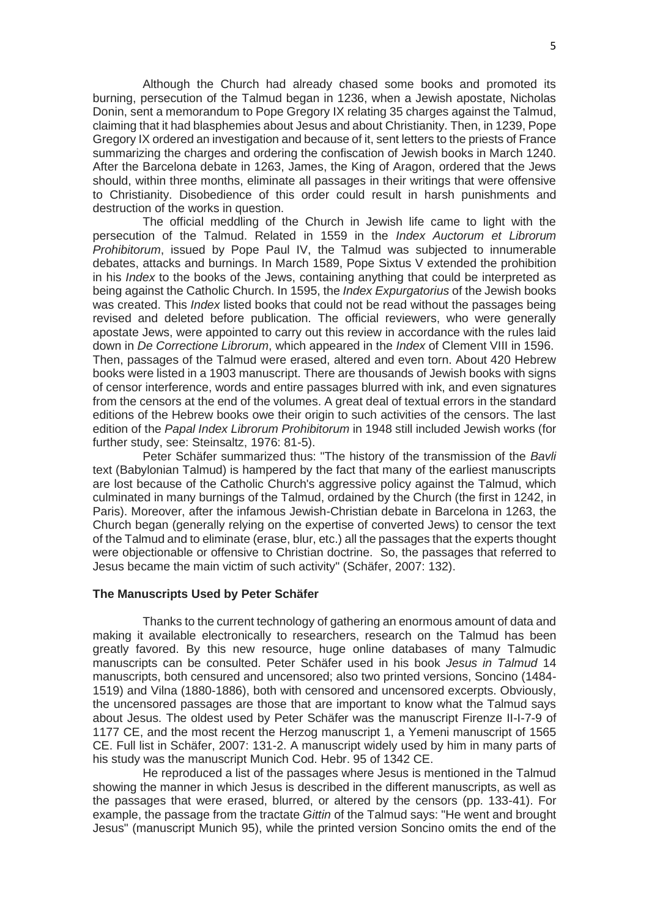Although the Church had already chased some books and promoted its burning, persecution of the Talmud began in 1236, when a Jewish apostate, Nicholas Donin, sent a memorandum to Pope Gregory IX relating 35 charges against the Talmud, claiming that it had blasphemies about Jesus and about Christianity. Then, in 1239, Pope Gregory IX ordered an investigation and because of it, sent letters to the priests of France summarizing the charges and ordering the confiscation of Jewish books in March 1240. After the Barcelona debate in 1263, James, the King of Aragon, ordered that the Jews should, within three months, eliminate all passages in their writings that were offensive to Christianity. Disobedience of this order could result in harsh punishments and destruction of the works in question.

The official meddling of the Church in Jewish life came to light with the persecution of the Talmud. Related in 1559 in the *Index Auctorum et Librorum Prohibitorum*, issued by Pope Paul IV, the Talmud was subjected to innumerable debates, attacks and burnings. In March 1589, Pope Sixtus V extended the prohibition in his *Index* to the books of the Jews, containing anything that could be interpreted as being against the Catholic Church. In 1595, the *Index Expurgatorius* of the Jewish books was created. This *Index* listed books that could not be read without the passages being revised and deleted before publication. The official reviewers, who were generally apostate Jews, were appointed to carry out this review in accordance with the rules laid down in *De Correctione Librorum*, which appeared in the *Index* of Clement VIII in 1596. Then, passages of the Talmud were erased, altered and even torn. About 420 Hebrew books were listed in a 1903 manuscript. There are thousands of Jewish books with signs of censor interference, words and entire passages blurred with ink, and even signatures from the censors at the end of the volumes. A great deal of textual errors in the standard editions of the Hebrew books owe their origin to such activities of the censors. The last edition of the *Papal Index Librorum Prohibitorum* in 1948 still included Jewish works (for further study, see: Steinsaltz, 1976: 81-5).

Peter Schäfer summarized thus: "The history of the transmission of the *Bavli* text (Babylonian Talmud) is hampered by the fact that many of the earliest manuscripts are lost because of the Catholic Church's aggressive policy against the Talmud, which culminated in many burnings of the Talmud, ordained by the Church (the first in 1242, in Paris). Moreover, after the infamous Jewish-Christian debate in Barcelona in 1263, the Church began (generally relying on the expertise of converted Jews) to censor the text of the Talmud and to eliminate (erase, blur, etc.) all the passages that the experts thought were objectionable or offensive to Christian doctrine. So, the passages that referred to Jesus became the main victim of such activity" (Schäfer, 2007: 132).

## **The Manuscripts Used by Peter Schäfer**

Thanks to the current technology of gathering an enormous amount of data and making it available electronically to researchers, research on the Talmud has been greatly favored. By this new resource, huge online databases of many Talmudic manuscripts can be consulted. Peter Schäfer used in his book *Jesus in Talmud* 14 manuscripts, both censured and uncensored; also two printed versions, Soncino (1484- 1519) and Vilna (1880-1886), both with censored and uncensored excerpts. Obviously, the uncensored passages are those that are important to know what the Talmud says about Jesus. The oldest used by Peter Schäfer was the manuscript Firenze II-I-7-9 of 1177 CE, and the most recent the Herzog manuscript 1, a Yemeni manuscript of 1565 CE. Full list in Schäfer, 2007: 131-2. A manuscript widely used by him in many parts of his study was the manuscript Munich Cod. Hebr. 95 of 1342 CE.

He reproduced a list of the passages where Jesus is mentioned in the Talmud showing the manner in which Jesus is described in the different manuscripts, as well as the passages that were erased, blurred, or altered by the censors (pp. 133-41). For example, the passage from the tractate *Gittin* of the Talmud says: "He went and brought Jesus" (manuscript Munich 95), while the printed version Soncino omits the end of the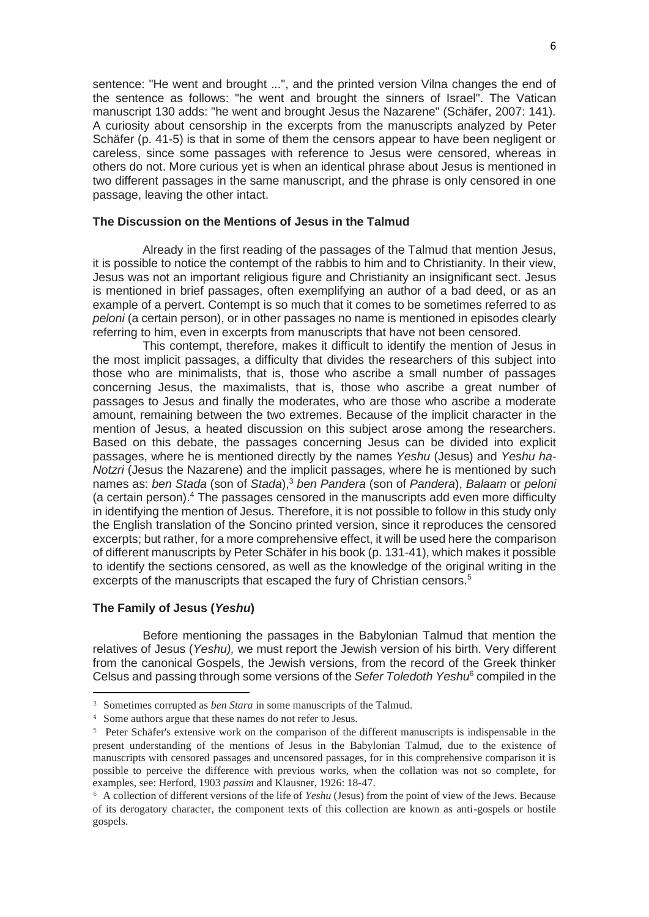sentence: "He went and brought ...", and the printed version Vilna changes the end of the sentence as follows: "he went and brought the sinners of Israel". The Vatican manuscript 130 adds: "he went and brought Jesus the Nazarene" (Schäfer, 2007: 141). A curiosity about censorship in the excerpts from the manuscripts analyzed by Peter Schäfer (p. 41-5) is that in some of them the censors appear to have been negligent or careless, since some passages with reference to Jesus were censored, whereas in others do not. More curious yet is when an identical phrase about Jesus is mentioned in two different passages in the same manuscript, and the phrase is only censored in one passage, leaving the other intact.

## **The Discussion on the Mentions of Jesus in the Talmud**

Already in the first reading of the passages of the Talmud that mention Jesus, it is possible to notice the contempt of the rabbis to him and to Christianity. In their view, Jesus was not an important religious figure and Christianity an insignificant sect. Jesus is mentioned in brief passages, often exemplifying an author of a bad deed, or as an example of a pervert. Contempt is so much that it comes to be sometimes referred to as *peloni* (a certain person), or in other passages no name is mentioned in episodes clearly referring to him, even in excerpts from manuscripts that have not been censored.

This contempt, therefore, makes it difficult to identify the mention of Jesus in the most implicit passages, a difficulty that divides the researchers of this subject into those who are minimalists, that is, those who ascribe a small number of passages concerning Jesus, the maximalists, that is, those who ascribe a great number of passages to Jesus and finally the moderates, who are those who ascribe a moderate amount, remaining between the two extremes. Because of the implicit character in the mention of Jesus, a heated discussion on this subject arose among the researchers. Based on this debate, the passages concerning Jesus can be divided into explicit passages, where he is mentioned directly by the names *Yeshu* (Jesus) and *Yeshu ha-Notzri* (Jesus the Nazarene) and the implicit passages, where he is mentioned by such names as: *ben Stada* (son of *Stada*),<sup>3</sup> *ben Pandera* (son of *Pandera*), *Balaam* or *peloni* (a certain person).<sup>4</sup> The passages censored in the manuscripts add even more difficulty in identifying the mention of Jesus. Therefore, it is not possible to follow in this study only the English translation of the Soncino printed version, since it reproduces the censored excerpts; but rather, for a more comprehensive effect, it will be used here the comparison of different manuscripts by Peter Schäfer in his book (p. 131-41), which makes it possible to identify the sections censored, as well as the knowledge of the original writing in the excerpts of the manuscripts that escaped the fury of Christian censors.<sup>5</sup>

#### **The Family of Jesus (***Yeshu***)**

Before mentioning the passages in the Babylonian Talmud that mention the relatives of Jesus (*Yeshu),* we must report the Jewish version of his birth. Very different from the canonical Gospels, the Jewish versions, from the record of the Greek thinker Celsus and passing through some versions of the *Sefer Toledoth Yeshu*<sup>6</sup> compiled in the

<sup>3</sup> Sometimes corrupted as *ben Stara* in some manuscripts of the Talmud.

<sup>4</sup> Some authors argue that these names do not refer to Jesus.

<sup>5</sup> Peter Schäfer's extensive work on the comparison of the different manuscripts is indispensable in the present understanding of the mentions of Jesus in the Babylonian Talmud, due to the existence of manuscripts with censored passages and uncensored passages, for in this comprehensive comparison it is possible to perceive the difference with previous works, when the collation was not so complete, for examples, see: Herford, 1903 *passim* and Klausner, 1926: 18-47.

<sup>6</sup> A collection of different versions of the life of *Yeshu* (Jesus) from the point of view of the Jews. Because of its derogatory character, the component texts of this collection are known as anti-gospels or hostile gospels.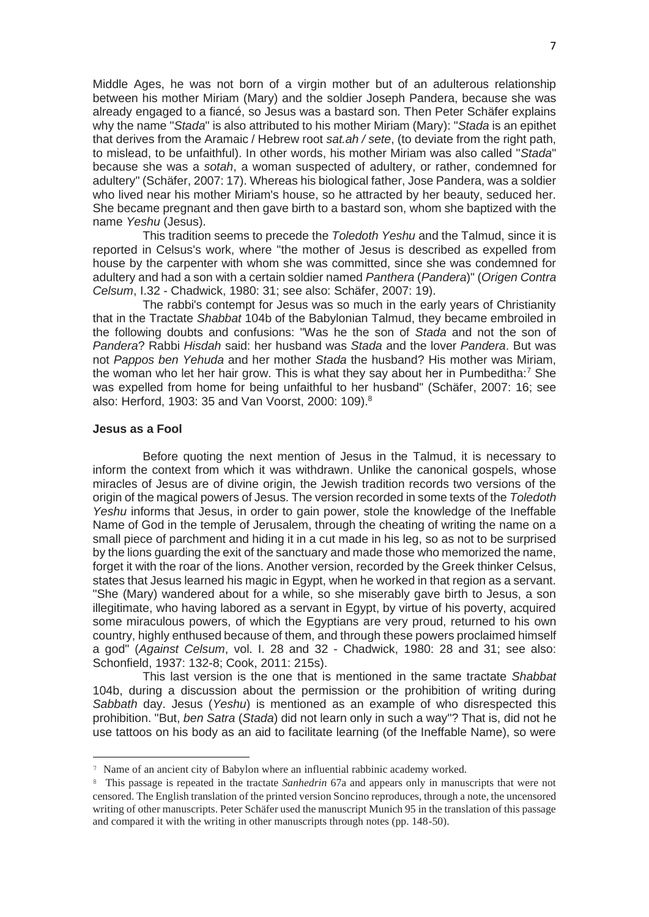Middle Ages, he was not born of a virgin mother but of an adulterous relationship between his mother Miriam (Mary) and the soldier Joseph Pandera, because she was already engaged to a fiancé, so Jesus was a bastard son. Then Peter Schäfer explains why the name "*Stada*" is also attributed to his mother Miriam (Mary): "*Stada* is an epithet that derives from the Aramaic / Hebrew root *sat.ah / sete*, (to deviate from the right path, to mislead, to be unfaithful). In other words, his mother Miriam was also called "*Stada*" because she was a *sotah*, a woman suspected of adultery, or rather, condemned for adultery" (Schäfer, 2007: 17). Whereas his biological father, Jose Pandera, was a soldier who lived near his mother Miriam's house, so he attracted by her beauty, seduced her. She became pregnant and then gave birth to a bastard son, whom she baptized with the name *Yeshu* (Jesus).

This tradition seems to precede the *Toledoth Yeshu* and the Talmud, since it is reported in Celsus's work, where "the mother of Jesus is described as expelled from house by the carpenter with whom she was committed, since she was condemned for adultery and had a son with a certain soldier named *Panthera* (*Pandera*)" (*Origen Contra Celsum*, I.32 - Chadwick, 1980: 31; see also: Schäfer, 2007: 19).

The rabbi's contempt for Jesus was so much in the early years of Christianity that in the Tractate *Shabbat* 104b of the Babylonian Talmud, they became embroiled in the following doubts and confusions: "Was he the son of *Stada* and not the son of *Pandera*? Rabbi *Hisdah* said: her husband was *Stada* and the lover *Pandera*. But was not *Pappos ben Yehuda* and her mother *Stada* the husband? His mother was Miriam, the woman who let her hair grow. This is what they say about her in Pumbeditha: $7$  She was expelled from home for being unfaithful to her husband" (Schäfer, 2007: 16; see also: Herford, 1903: 35 and Van Voorst, 2000: 109).<sup>8</sup>

## **Jesus as a Fool**

Before quoting the next mention of Jesus in the Talmud, it is necessary to inform the context from which it was withdrawn. Unlike the canonical gospels, whose miracles of Jesus are of divine origin, the Jewish tradition records two versions of the origin of the magical powers of Jesus. The version recorded in some texts of the *Toledoth Yeshu* informs that Jesus, in order to gain power, stole the knowledge of the Ineffable Name of God in the temple of Jerusalem, through the cheating of writing the name on a small piece of parchment and hiding it in a cut made in his leg, so as not to be surprised by the lions guarding the exit of the sanctuary and made those who memorized the name, forget it with the roar of the lions. Another version, recorded by the Greek thinker Celsus, states that Jesus learned his magic in Egypt, when he worked in that region as a servant. "She (Mary) wandered about for a while, so she miserably gave birth to Jesus, a son illegitimate, who having labored as a servant in Egypt, by virtue of his poverty, acquired some miraculous powers, of which the Egyptians are very proud, returned to his own country, highly enthused because of them, and through these powers proclaimed himself a god" (*Against Celsum*, vol. I. 28 and 32 - Chadwick, 1980: 28 and 31; see also: Schonfield, 1937: 132-8; Cook, 2011: 215s).

This last version is the one that is mentioned in the same tractate *Shabbat*  104b, during a discussion about the permission or the prohibition of writing during *Sabbath* day. Jesus (*Yeshu*) is mentioned as an example of who disrespected this prohibition. "But, *ben Satra* (*Stada*) did not learn only in such a way"? That is, did not he use tattoos on his body as an aid to facilitate learning (of the Ineffable Name), so were

<sup>7</sup> Name of an ancient city of Babylon where an influential rabbinic academy worked.

<sup>8</sup> This passage is repeated in the tractate *Sanhedrin* 67a and appears only in manuscripts that were not censored. The English translation of the printed version Soncino reproduces, through a note, the uncensored writing of other manuscripts. Peter Schäfer used the manuscript Munich 95 in the translation of this passage and compared it with the writing in other manuscripts through notes (pp. 148-50).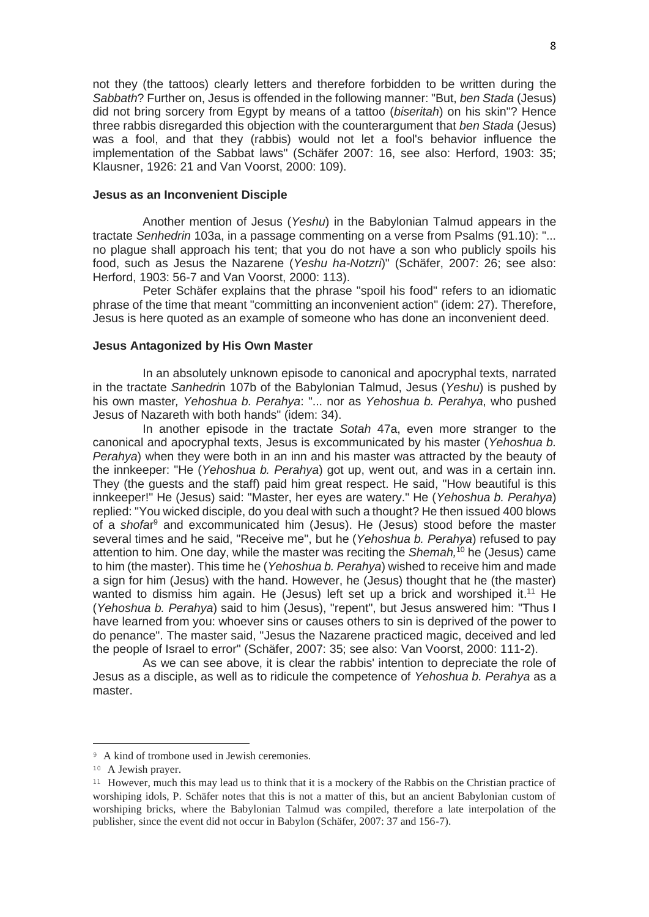not they (the tattoos) clearly letters and therefore forbidden to be written during the *Sabbath*? Further on, Jesus is offended in the following manner: "But, *ben Stada* (Jesus) did not bring sorcery from Egypt by means of a tattoo (*biseritah*) on his skin"? Hence three rabbis disregarded this objection with the counterargument that *ben Stada* (Jesus) was a fool, and that they (rabbis) would not let a fool's behavior influence the implementation of the Sabbat laws" (Schäfer 2007: 16, see also: Herford, 1903: 35; Klausner, 1926: 21 and Van Voorst, 2000: 109).

#### **Jesus as an Inconvenient Disciple**

Another mention of Jesus (*Yeshu*) in the Babylonian Talmud appears in the tractate *Senhedrin* 103a, in a passage commenting on a verse from Psalms (91.10): "... no plague shall approach his tent; that you do not have a son who publicly spoils his food, such as Jesus the Nazarene (*Yeshu ha-Notzri*)" (Schäfer, 2007: 26; see also: Herford, 1903: 56-7 and Van Voorst, 2000: 113).

Peter Schäfer explains that the phrase "spoil his food" refers to an idiomatic phrase of the time that meant "committing an inconvenient action" (idem: 27). Therefore, Jesus is here quoted as an example of someone who has done an inconvenient deed.

## **Jesus Antagonized by His Own Master**

In an absolutely unknown episode to canonical and apocryphal texts, narrated in the tractate *Sanhedri*n 107b of the Babylonian Talmud, Jesus (*Yeshu*) is pushed by his own master*, Yehoshua b. Perahya*: "... nor as *Yehoshua b. Perahya*, who pushed Jesus of Nazareth with both hands" (idem: 34).

In another episode in the tractate *Sotah* 47a, even more stranger to the canonical and apocryphal texts, Jesus is excommunicated by his master (*Yehoshua b. Perahya*) when they were both in an inn and his master was attracted by the beauty of the innkeeper: "He (*Yehoshua b. Perahya*) got up, went out, and was in a certain inn. They (the guests and the staff) paid him great respect. He said, "How beautiful is this innkeeper!" He (Jesus) said: "Master, her eyes are watery." He (*Yehoshua b. Perahya*) replied: "You wicked disciple, do you deal with such a thought? He then issued 400 blows of a *shofa*r <sup>9</sup> and excommunicated him (Jesus). He (Jesus) stood before the master several times and he said, "Receive me", but he (*Yehoshua b. Perahya*) refused to pay attention to him. One day, while the master was reciting the *Shemah,*<sup>10</sup> he (Jesus) came to him (the master). This time he (*Yehoshua b. Perahya*) wished to receive him and made a sign for him (Jesus) with the hand. However, he (Jesus) thought that he (the master) wanted to dismiss him again. He (Jesus) left set up a brick and worshiped it.<sup>11</sup> He (*Yehoshua b. Perahya*) said to him (Jesus), "repent", but Jesus answered him: "Thus I have learned from you: whoever sins or causes others to sin is deprived of the power to do penance". The master said, "Jesus the Nazarene practiced magic, deceived and led the people of Israel to error" (Schäfer, 2007: 35; see also: Van Voorst, 2000: 111-2).

As we can see above, it is clear the rabbis' intention to depreciate the role of Jesus as a disciple, as well as to ridicule the competence of *Yehoshua b. Perahya* as a master.

<sup>&</sup>lt;sup>9</sup> A kind of trombone used in Jewish ceremonies.

<sup>10</sup> A Jewish prayer.

<sup>&</sup>lt;sup>11</sup> However, much this may lead us to think that it is a mockery of the Rabbis on the Christian practice of worshiping idols, P. Schäfer notes that this is not a matter of this, but an ancient Babylonian custom of worshiping bricks, where the Babylonian Talmud was compiled, therefore a late interpolation of the publisher, since the event did not occur in Babylon (Schäfer, 2007: 37 and 156-7).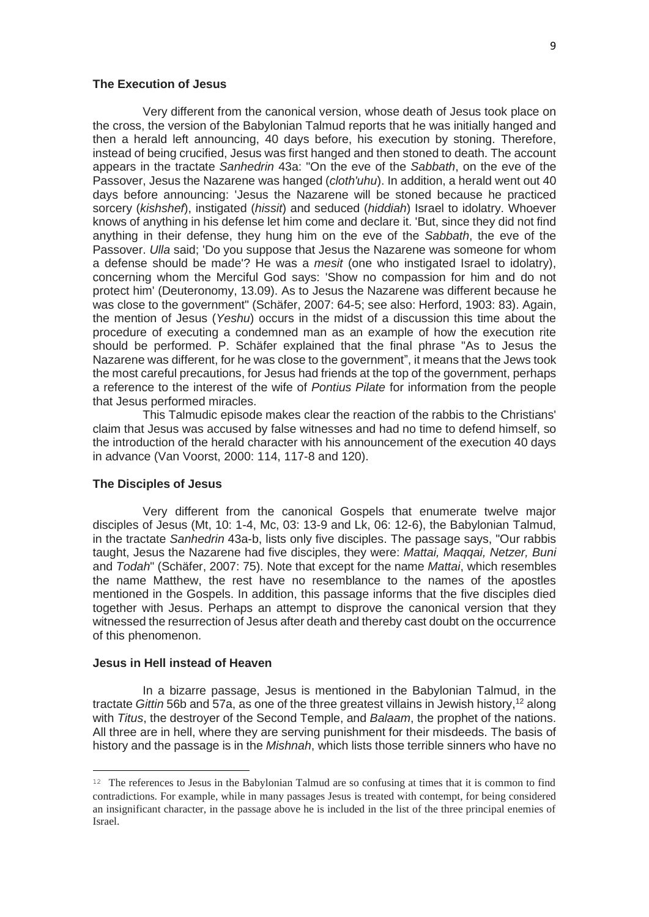## **The Execution of Jesus**

Very different from the canonical version, whose death of Jesus took place on the cross, the version of the Babylonian Talmud reports that he was initially hanged and then a herald left announcing, 40 days before, his execution by stoning. Therefore, instead of being crucified, Jesus was first hanged and then stoned to death. The account appears in the tractate *Sanhedrin* 43a: "On the eve of the *Sabbath*, on the eve of the Passover, Jesus the Nazarene was hanged (*cloth'uhu*). In addition, a herald went out 40 days before announcing: 'Jesus the Nazarene will be stoned because he practiced sorcery (*kishshef*), instigated (*hissit*) and seduced (*hiddiah*) Israel to idolatry. Whoever knows of anything in his defense let him come and declare it. 'But, since they did not find anything in their defense, they hung him on the eve of the *Sabbath*, the eve of the Passover. *Ulla* said; 'Do you suppose that Jesus the Nazarene was someone for whom a defense should be made'? He was a *mesit* (one who instigated Israel to idolatry), concerning whom the Merciful God says: 'Show no compassion for him and do not protect him' (Deuteronomy, 13.09). As to Jesus the Nazarene was different because he was close to the government" (Schäfer, 2007: 64-5; see also: Herford, 1903: 83). Again, the mention of Jesus (*Yeshu*) occurs in the midst of a discussion this time about the procedure of executing a condemned man as an example of how the execution rite should be performed. P. Schäfer explained that the final phrase "As to Jesus the Nazarene was different, for he was close to the government", it means that the Jews took the most careful precautions, for Jesus had friends at the top of the government, perhaps a reference to the interest of the wife of *Pontius Pilate* for information from the people that Jesus performed miracles.

This Talmudic episode makes clear the reaction of the rabbis to the Christians' claim that Jesus was accused by false witnesses and had no time to defend himself, so the introduction of the herald character with his announcement of the execution 40 days in advance (Van Voorst, 2000: 114, 117-8 and 120).

## **The Disciples of Jesus**

Very different from the canonical Gospels that enumerate twelve major disciples of Jesus (Mt, 10: 1-4, Mc, 03: 13-9 and Lk, 06: 12-6), the Babylonian Talmud, in the tractate *Sanhedrin* 43a-b, lists only five disciples. The passage says, "Our rabbis taught, Jesus the Nazarene had five disciples, they were: *Mattai, Maqqai, Netzer, Buni* and *Todah*" (Schäfer, 2007: 75). Note that except for the name *Mattai*, which resembles the name Matthew, the rest have no resemblance to the names of the apostles mentioned in the Gospels. In addition, this passage informs that the five disciples died together with Jesus. Perhaps an attempt to disprove the canonical version that they witnessed the resurrection of Jesus after death and thereby cast doubt on the occurrence of this phenomenon.

## **Jesus in Hell instead of Heaven**

In a bizarre passage, Jesus is mentioned in the Babylonian Talmud, in the tractate *Gittin* 56b and 57a, as one of the three greatest villains in Jewish history, <sup>12</sup> along with *Titus*, the destroyer of the Second Temple, and *Balaam*, the prophet of the nations. All three are in hell, where they are serving punishment for their misdeeds. The basis of history and the passage is in the *Mishnah*, which lists those terrible sinners who have no

 $12$  The references to Jesus in the Babylonian Talmud are so confusing at times that it is common to find contradictions. For example, while in many passages Jesus is treated with contempt, for being considered an insignificant character, in the passage above he is included in the list of the three principal enemies of Israel.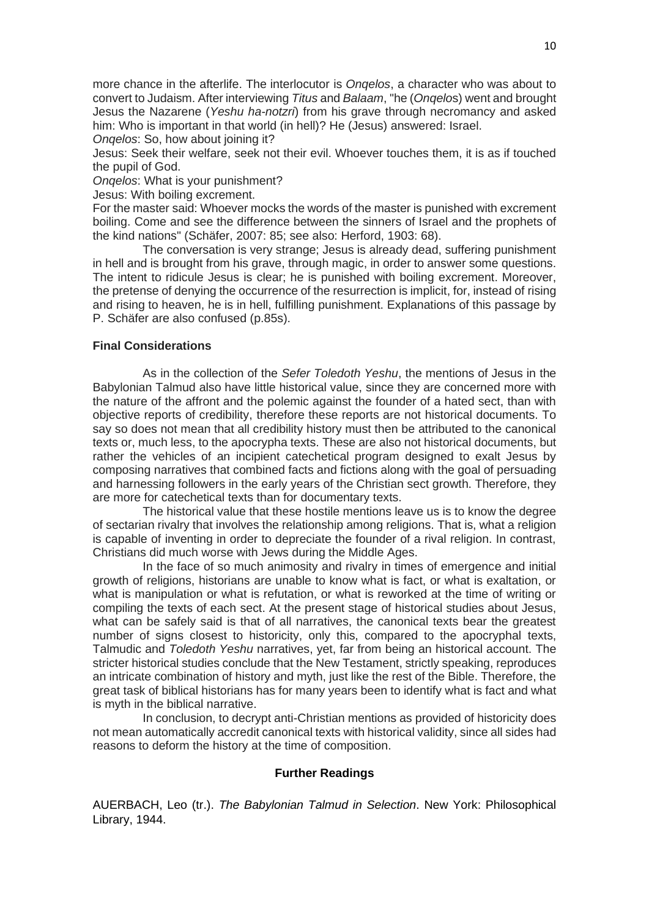more chance in the afterlife. The interlocutor is *Onqelos*, a character who was about to convert to Judaism. After interviewing *Titus* and *Balaam*, "he (*Onqelo*s) went and brought Jesus the Nazarene (*Yeshu ha-notzri*) from his grave through necromancy and asked him: Who is important in that world (in hell)? He (Jesus) answered: Israel.

*Ongelos: So, how about joining it?* 

Jesus: Seek their welfare, seek not their evil. Whoever touches them, it is as if touched the pupil of God.

*Onqelos*: What is your punishment?

Jesus: With boiling excrement.

For the master said: Whoever mocks the words of the master is punished with excrement boiling. Come and see the difference between the sinners of Israel and the prophets of the kind nations" (Schäfer, 2007: 85; see also: Herford, 1903: 68).

The conversation is very strange; Jesus is already dead, suffering punishment in hell and is brought from his grave, through magic, in order to answer some questions. The intent to ridicule Jesus is clear; he is punished with boiling excrement. Moreover, the pretense of denying the occurrence of the resurrection is implicit, for, instead of rising and rising to heaven, he is in hell, fulfilling punishment. Explanations of this passage by P. Schäfer are also confused (p.85s).

# **Final Considerations**

As in the collection of the *Sefer Toledoth Yeshu*, the mentions of Jesus in the Babylonian Talmud also have little historical value, since they are concerned more with the nature of the affront and the polemic against the founder of a hated sect, than with objective reports of credibility, therefore these reports are not historical documents. To say so does not mean that all credibility history must then be attributed to the canonical texts or, much less, to the apocrypha texts. These are also not historical documents, but rather the vehicles of an incipient catechetical program designed to exalt Jesus by composing narratives that combined facts and fictions along with the goal of persuading and harnessing followers in the early years of the Christian sect growth. Therefore, they are more for catechetical texts than for documentary texts.

The historical value that these hostile mentions leave us is to know the degree of sectarian rivalry that involves the relationship among religions. That is, what a religion is capable of inventing in order to depreciate the founder of a rival religion. In contrast, Christians did much worse with Jews during the Middle Ages.

In the face of so much animosity and rivalry in times of emergence and initial growth of religions, historians are unable to know what is fact, or what is exaltation, or what is manipulation or what is refutation, or what is reworked at the time of writing or compiling the texts of each sect. At the present stage of historical studies about Jesus, what can be safely said is that of all narratives, the canonical texts bear the greatest number of signs closest to historicity, only this, compared to the apocryphal texts, Talmudic and *Toledoth Yeshu* narratives, yet, far from being an historical account. The stricter historical studies conclude that the New Testament, strictly speaking, reproduces an intricate combination of history and myth, just like the rest of the Bible. Therefore, the great task of biblical historians has for many years been to identify what is fact and what is myth in the biblical narrative.

In conclusion, to decrypt anti-Christian mentions as provided of historicity does not mean automatically accredit canonical texts with historical validity, since all sides had reasons to deform the history at the time of composition.

## **Further Readings**

AUERBACH, Leo (tr.). *The Babylonian Talmud in Selection*. New York: Philosophical Library, 1944.